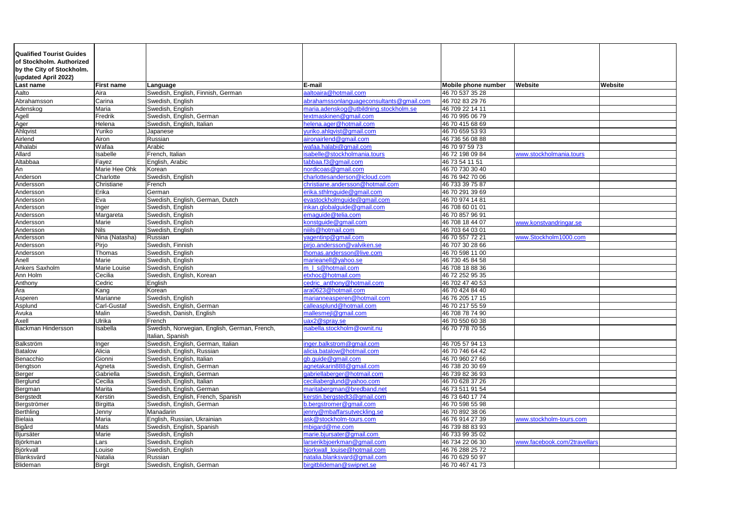| <b>Qualified Tourist Guides</b> |                   |                                              |                                          |                            |                              |                |
|---------------------------------|-------------------|----------------------------------------------|------------------------------------------|----------------------------|------------------------------|----------------|
| of Stockholm. Authorized        |                   |                                              |                                          |                            |                              |                |
| by the City of Stockholm.       |                   |                                              |                                          |                            |                              |                |
| (updated April 2022)            |                   |                                              |                                          |                            |                              |                |
| Last name                       | <b>First name</b> | Language                                     | E-mail                                   | <b>Mobile phone number</b> | <b>Website</b>               | <b>Website</b> |
| Aalto                           | Aira              | Swedish, English, Finnish, German            | aaltoaira@hotmail.com                    | 46 70 537 35 28            |                              |                |
| Abrahamsson                     | Carina            | Swedish, English                             | abrahamssonlanguageconsultants@gmail.com | 46 702 83 29 76            |                              |                |
| Adenskog                        | Maria             | Swedish, English                             | maria.adenskog@utbildning.stockholm.se   | 46 709 22 14 11            |                              |                |
| Agell                           | Fredrik           | Swedish, English, German                     | textmaskinen@gmail.com                   | 46 70 995 06 79            |                              |                |
| Ager                            | Helena            | Swedish, English, Italian                    | helena.ager@hotmail.com                  | 46 70 415 68 69            |                              |                |
| Ahlqvist                        | Yuriko            | Japanese                                     | yuriko.ahlqvist@gmail.com                | 46 70 659 53 93            |                              |                |
| Airlend                         | Airon             | Russian                                      | aironairlend@gmail.com                   | 46 736 56 08 88            |                              |                |
| Alhalabi                        | Wafaa             | Arabic                                       | wafaa.halabi@gmail.com                   | 46 70 97 59 73             |                              |                |
| Allard                          | Isabelle          | French, Italian                              | isabelle@stockholmania.tours             | 46 72 198 09 84            | www.stockholmania.tours      |                |
| Altabbaa                        | Fayez             | English, Arabic                              | tabbaa.f3@gmail.com                      | 46 73 54 11 51             |                              |                |
| An                              | Marie Hee Ohk     | Korean                                       | nordicoas@gmail.com                      | 46 70 730 30 40            |                              |                |
| Anderson                        | Charlotte         | Swedish, English                             | charlottesanderson@icloud.com            | 46 76 942 70 06            |                              |                |
| Andersson                       | Christiane        | French                                       | christiane.andersson@hotmail.com         | 46 733 39 75 87            |                              |                |
| Andersson                       | Erika             | German                                       | erika.sthlmguide@gmail.com               | 46 70 291 39 69            |                              |                |
| Andersson                       | Eva               | Swedish, English, German, Dutch              | evastockholmguide@gmail.com              | 46 70 974 14 81            |                              |                |
| Andersson                       | Inger             | Swedish, English                             | inkan.globalguide@gmail.com              | 46 708 60 01 01            |                              |                |
| Andersson                       | Margareta         | Swedish, English                             | emaguide@telia.com                       | 46 70 857 96 91            |                              |                |
| Andersson                       | Marie             | Swedish, English                             | konstguide@gmail.com                     | 46 708 18 44 07            | www.konstvandringar.se       |                |
| Andersson                       | <b>Nils</b>       | Swedish, English                             | niiils@hotmail.com                       | 46 703 64 03 01            |                              |                |
| Andersson                       | Nina (Natasha)    | Russian                                      | yagentinp@gmail.com                      | 46 70 557 72 21            | www.Stockholm1000.com        |                |
| Andersson                       | Pirjo             | Swedish, Finnish                             | pirjo.andersson@valviken.se              | 46 707 30 28 66            |                              |                |
| Andersson                       | Thomas            | Swedish, English                             | thomas.andersson@live.com                | 46 70 598 11 00            |                              |                |
| Anell                           | Marie             | Swedish, English                             | marieanell@yahoo.se                      | 46 730 45 84 58            |                              |                |
| Ankers Saxholm                  | Marie Louise      | Swedish, English                             | m I s@hotmail.com                        | 46 708 18 88 36            |                              |                |
| Ann Holm                        | Cecilia           | Swedish, English, Korean                     | etxhoc@hotmail.com                       | 46 72 252 95 35            |                              |                |
| Anthony                         | Cedric            | English                                      | cedric anthony@hotmail.com               | 46 702 47 40 53            |                              |                |
| Ara                             | Kang              | Korean                                       | ara0623@hotmail.com                      | 46 70 424 84 40            |                              |                |
| Asperen                         | Marianne          | Swedish, English                             | marianneasperen@hotmail.com              | 46 76 205 17 15            |                              |                |
| Asplund                         | Carl-Gustaf       | Swedish, English, German                     | calleasplund@hotmail.com                 | 46 70 217 55 59            |                              |                |
| Avuka                           | Malin             | Swedish, Danish, English                     | mallesmejl@gmail.com                     | 46 708 78 74 90            |                              |                |
| Axell                           | <b>Ulrika</b>     | French                                       | uax2@spray.se                            | 46 70 550 60 38            |                              |                |
| <b>Backman Hindersson</b>       | Isabella          | Swedish, Norwegian, English, German, French, | sabella.stockholm@ownit.nu               | 46 70 778 70 55            |                              |                |
|                                 |                   | Italian, Spanish                             |                                          |                            |                              |                |
| Balkström                       | Inger             | Swedish, English, German, Italian            | inger.balkstrom@gmail.com                | 46 705 57 94 13            |                              |                |
| <b>Batalow</b>                  | Alicia            | Swedish, English, Russian                    | alicia.batalow@hotmail.com               | 46 70 746 64 42            |                              |                |
| Benacchio                       | Gionni            | Swedish, English, Italian                    | gb.guide@gmail.com                       | 46 70 960 27 66            |                              |                |
| Bengtson                        | Agneta            | Swedish, English, German                     | agnetakarin888@gmail.com                 | 46 738 20 30 69            |                              |                |
| Berger                          | Gabriella         | Swedish, English, German                     | gabriellaberger@hotmail.com              | 46 739 82 36 93            |                              |                |
| Berglund                        | Cecilia           | Swedish, English, Italian                    | ceciliaberglund@yahoo.com                | 46 70 628 37 26            |                              |                |
| Bergman                         | Marita            | Swedish, English, German                     | maritabergman@bredband.net               | 46 73 511 91 54            |                              |                |
| Bergstedt                       | Kerstin           | Swedish, English, French, Spanish            | kerstin.bergstedt3@gmail.com             | 46 73 640 17 74            |                              |                |
| Bergströmer                     | <b>Birgitta</b>   | Swedish, English, German                     | b.bergstromer@gmail.com                  | 46 70 598 55 98            |                              |                |
| Berthling                       | Jenny             | Manadarin                                    | jenny@mbaffarsutveckling.se              | 46 70 892 38 06            |                              |                |
| Bielaia                         | Maria             | English, Russian, Ukrainian                  | ask@stockholm-tours.com                  | 46 76 914 27 39            | www.stockholm-tours.com      |                |
| Bigård                          | Mats              | Swedish, English, Spanish                    | mbigard@me.com                           | 46 739 88 83 93            |                              |                |
| Bjursäter                       | Marie             | Swedish, English                             | marie.bjursater@gmail.com                | 46 733 99 35 02            |                              |                |
| Björkman                        | Lars              | Swedish, English                             | larserikbjoerkman@gmail.com              | 46 734 22 06 30            | www.facebook.com/2travellars |                |
| Björkvall                       | Louise            | Swedish, English                             | bjorkwall_louise@hotmail.com             | 46 76 288 25 72            |                              |                |
| Blanksvärd                      | Natalia           | Russian                                      | natalia.blanksvard@gmail.com             | 46 70 629 50 97            |                              |                |
| Blideman                        | <b>Birgit</b>     | Swedish, English, German                     | birgitblideman@swipnet.se                | 46 70 467 41 73            |                              |                |
|                                 |                   |                                              |                                          |                            |                              |                |

| <b>Website</b>               | Website |
|------------------------------|---------|
|                              |         |
|                              |         |
|                              |         |
|                              |         |
|                              |         |
|                              |         |
|                              |         |
|                              |         |
|                              |         |
|                              |         |
|                              |         |
| www.stockholmania.tours      |         |
|                              |         |
|                              |         |
|                              |         |
|                              |         |
|                              |         |
|                              |         |
|                              |         |
|                              |         |
|                              |         |
|                              |         |
| www.konstvandringar.se       |         |
|                              |         |
|                              |         |
| www.Stockholm1000.com        |         |
|                              |         |
|                              |         |
|                              |         |
|                              |         |
|                              |         |
|                              |         |
|                              |         |
|                              |         |
|                              |         |
|                              |         |
|                              |         |
|                              |         |
|                              |         |
|                              |         |
|                              |         |
|                              |         |
|                              |         |
|                              |         |
|                              |         |
|                              |         |
|                              |         |
|                              |         |
|                              |         |
|                              |         |
|                              |         |
|                              |         |
|                              |         |
|                              |         |
|                              |         |
| www.stockholm-tours.com      |         |
|                              |         |
|                              |         |
| www.facebook.com/2travellars |         |
|                              |         |
|                              |         |
|                              |         |
|                              |         |
|                              |         |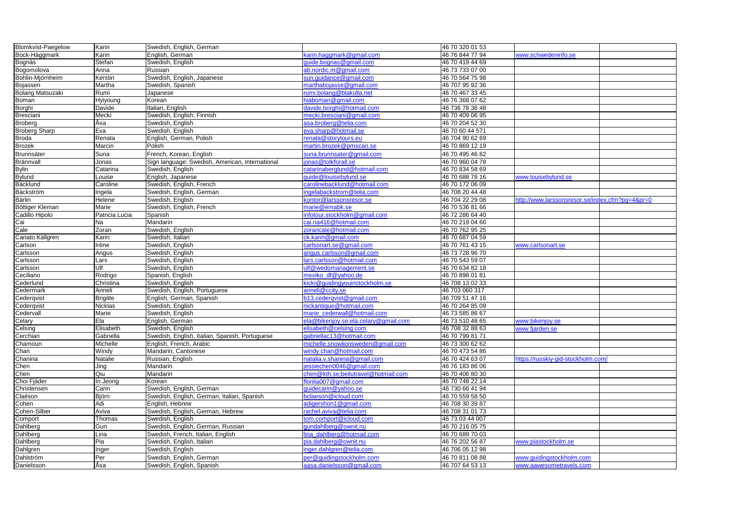| <b>Blomkvist-Paegelow</b> | Karin           | Swedish, English, German                        |                                      | 46 70 320 01 53 |                                               |  |
|---------------------------|-----------------|-------------------------------------------------|--------------------------------------|-----------------|-----------------------------------------------|--|
| Bock-Häggmark             | Karin           | English, German                                 | karin.haggmark@gmail.com             | 46 76 844 77 94 | www.schwedeninfo.se                           |  |
| Bognäs                    | Stefan          | Swedish, English                                | guide.bognas@gmail.com               | 46 70 419 44 69 |                                               |  |
| Bogomolova                | Anna            | Russian                                         | ab.nordic.m@gmail.com                | 46 73 733 07 00 |                                               |  |
| Bohlin-Mjörnheim          | Kerstin         | Swedish, English, Japanese                      | sun.guidance@gmail.com               | 46 70 564 75 98 |                                               |  |
| Bojassen                  | Martha          | Swedish, Spanish                                | marthabojasse@gmail.com              | 46 707 95 92 36 |                                               |  |
| <b>Bolang Matsuzaki</b>   | Rumi            | Japanese                                        | rumi.bolang@blakulla.net             | 46 70 467 33 45 |                                               |  |
| <b>Boman</b>              | Hyiyoung        | Korean                                          | hiaboman@gmail.com                   | 46 76 368 07 62 |                                               |  |
| Borghi                    | Davide          | Italian, English                                | davide.borghi@hotmail.com            | 46 736 78 36 48 |                                               |  |
| Bresciani                 | Mecki           | Swedish, English, Finnish                       | mecki.bresciani@gmail.com            | 46 70 409 06 95 |                                               |  |
| Broberg                   | Åsa             | Swedish, English                                | asa.broberg@telia.com                | 46 70 204 52 30 |                                               |  |
| <b>Broberg Sharp</b>      | Eva             | Swedish, English                                | eva.sharp@hotmail.se                 | 46 70 60 44 571 |                                               |  |
| Broda                     | Renata          | English, German, Polish                         | renata@storytours.eu                 | 46 704 90 62 69 |                                               |  |
| <b>Brozek</b>             | Marcin          | Polish                                          | martin.brozek@pmscan.se              | 46 70 869 12 19 |                                               |  |
| Brunnsäter                | Suna            | French, Korean, English                         | suna.brunnsater@gmail.com            | 46 70 495 46 82 |                                               |  |
| Brännvall                 | Jonas           | Sign language: Swedish, American, International | jonas@tolkforall.se                  | 46 70 960 04 78 |                                               |  |
| <b>Bylin</b>              | Catarina        | Swedish, English                                | catarinaberglund@hotmail.com         | 46 70 834 58 69 |                                               |  |
| <b>Bylund</b>             | Louise          | English, Japanese                               | guide@louisebylund.se                | 46 70 688 78 16 | www.louisebylund.se                           |  |
| Bäcklund                  | Caroline        | Swedish, English, French                        | carolinebacklund@hotmail.com         | 46 70 172 06 09 |                                               |  |
| Bäckström                 | Ingela          | Swedish, English, German                        | ingelabackstrom@telia.com            | 46 708 20 44 48 |                                               |  |
| Bärlin                    | Helene          | Swedish, English                                | kontor@larssonsresor.se              | 46 704 22 29 08 | http://www.larssonsresor.se/index.cfm?pg=4≺=0 |  |
| <b>Böttiger Kleman</b>    | Marie           | Swedish, English, French                        | marie@emabk.se                       | 46 70 536 81 66 |                                               |  |
| Cadillo Hipolo            | Patricia Lucia  | Spanish                                         | infotour.stockholm@gmail.com         | 46 72 286 64 40 |                                               |  |
| Cai                       | Na              | Mandarin                                        | cai.na416@hotmail.com                | 46 70 219 04 66 |                                               |  |
| Cale                      | Zoran           |                                                 |                                      | 46 70 762 95 25 |                                               |  |
|                           |                 | Swedish, English                                | zorancale@hotmail.com                | 46 70 687 04 59 |                                               |  |
| Canato Källgren           | Karin           | Swedish, Italian                                | ck.karin@gmail.com                   |                 |                                               |  |
| Carlson                   | Iréne           | Swedish, English                                | carlsonart.se@gmail.com              | 46 70 761 43 15 | www.carlsonart.se                             |  |
| Carlsson                  | Angus           | Swedish, English                                | angus.carlsson@gmail.com             | 46 73 728 96 70 |                                               |  |
| Carlsson                  | Lars            | Swedish, English                                | lars.carlsson@hotmail.com            | 46 70 543 59 07 |                                               |  |
| Carlsson                  | Ulf             | Swedish, English                                | ulf@wedomanagement.se                | 46 70 634 82 18 |                                               |  |
| Ceciliano                 | Rodrigo         | Spanish, English                                | mexiko_df@yahoo.de                   | 46 70 898 01 81 |                                               |  |
| Cederlund                 | Christina       | Swedish, English                                | kicki@guidingyouinstockholm.se       | 46 708 13 02 33 |                                               |  |
| Cedermark                 | Anneli          | Swedish, English, Portuguese                    | anneli@ccity.se                      | 46 703 060 317  |                                               |  |
| Cederqvist                | <b>Brigitte</b> | English, German, Spanish                        | b13.cederqvist@gmail.com             | 46 709 51 47 16 |                                               |  |
| Cederqvist                | <b>Nicklas</b>  | Swedish, English                                | nickantique@hotmail.com              | 46 70 264 85 09 |                                               |  |
| Cedervall                 | Marie           | Swedish, English                                | marie cederwall@hotmail.com          | 46 73 585 86 67 |                                               |  |
| Celary                    | Ela             | English, German                                 | ela@bikenjoy.se;ela.celary@gmail.com | 46 73 510 48 65 | www.bikenjoy.se                               |  |
| Celsing                   | Elisabeth       | Swedish, English                                | elisabeth@celsing.com                | 46 708 32 88 63 | www.fjarden.se                                |  |
| Cerchiari                 | Gabriella       | Swedish, English, Italian, Spanish, Portuguese  | gabriellac13@hotmail.com             | 46 70 799 81 71 |                                               |  |
| Chamoun                   | Michelle        | English, French, Arabic                         | michelle.snowlionsweden@gmail.com    | 46 73 300 62 62 |                                               |  |
| Chan                      | Windy           | Mandarin, Cantonese                             | windy.chan@hotmail.com               | 46 70 473 54 86 |                                               |  |
| Chanina                   | Natalie         | Russian, English                                | natalia.v.shanina@gmail.com          | 46 70 424 63 07 | https://russkiy-gid-stockholm.com/            |  |
| Chen                      | Jing            | Mandarin                                        | jessiechen0046@gmail.com             | 46 76 183 86 06 |                                               |  |
| Chen                      | Qiu             | Mandarin                                        | chen@kth.se;beilutravel@hotmail.com  | 46 70 406 80 30 |                                               |  |
| Choi Fjäder               | In Jeong        | Korean                                          | florilia007@gmail.com                | 46 70 748 22 14 |                                               |  |
| Christensen               | Carin           | Swedish, English, German                        | guidecarin@yahoo.se                  | 46 730 66 41 94 |                                               |  |
| Claéson                   | Björn           | Swedish, English, German, Italian, Spanish      | bclaeson@icloud.com                  | 46 70 559 58 50 |                                               |  |
| Cohen                     | Adi             | English, Hebrew                                 | adigershon1@gmail.com                | 46 708 30 39 87 |                                               |  |
| Cohen-Silber              | Aviva           | Swedish, English, German, Hebrew                | rachel.aviva@telia.com               | 46 708 31 01 73 |                                               |  |
| Comport                   | Thomas          | Swedish, English                                | tom.comport@icloud.com               | 46 73 03 44 007 |                                               |  |
| Dahlberg                  | Gun             | Swedish, English, German, Russian               | gundahlberg@ownit.nu                 | 46 70 216 05 75 |                                               |  |
| Dahlberg                  | Lina            | Swedish, French, Italian, English               | lina dahlberg@hotmail.com            | 46 70 689 70 03 |                                               |  |
| Dahlberg                  | Pia             | Swedish, English, Italian                       | pia.dahlberg@ownit.nu                | 46 76 202 56 87 | www.piastockholm.se                           |  |
| Dahlgren                  | Inger           | Swedish, English                                | inger.dahlgren@telia.com             | 46 706 05 12 98 |                                               |  |
| Dahlström                 | Per             | Swedish, English, German                        | per@guidingstockholm.com             | 46 70 811 08 88 | www.guidingstockholm.com                      |  |
| Danielsson                | Åsa             | Swedish, English, Spanish                       | aasa.danielsson@gmail.com            | 46 707 64 53 13 | www.aawesometravels.com                       |  |

| chwedeninfo.se                         |  |
|----------------------------------------|--|
|                                        |  |
|                                        |  |
|                                        |  |
|                                        |  |
|                                        |  |
|                                        |  |
|                                        |  |
|                                        |  |
|                                        |  |
|                                        |  |
|                                        |  |
|                                        |  |
|                                        |  |
|                                        |  |
|                                        |  |
|                                        |  |
|                                        |  |
|                                        |  |
|                                        |  |
|                                        |  |
|                                        |  |
| puisebylund.se                         |  |
|                                        |  |
|                                        |  |
|                                        |  |
| www.larssonsresor.se/index.cfm?pg=4≺=0 |  |
|                                        |  |
|                                        |  |
|                                        |  |
|                                        |  |
|                                        |  |
|                                        |  |
|                                        |  |
| carlsonart.se                          |  |
|                                        |  |
|                                        |  |
|                                        |  |
|                                        |  |
|                                        |  |
|                                        |  |
|                                        |  |
|                                        |  |
|                                        |  |
|                                        |  |
|                                        |  |
|                                        |  |
| <u>ikenjoy.se</u>                      |  |
|                                        |  |
| jarden.se                              |  |
|                                        |  |
|                                        |  |
|                                        |  |
|                                        |  |
| /russkiy-gid-stockholm.com/            |  |
|                                        |  |
|                                        |  |
|                                        |  |
|                                        |  |
|                                        |  |
|                                        |  |
|                                        |  |
|                                        |  |
|                                        |  |
|                                        |  |
|                                        |  |
|                                        |  |
|                                        |  |
| <b><u>biastockholm.se</u></b>          |  |
|                                        |  |
|                                        |  |
| <u>juidingstockholm.com</u>            |  |
| awesometravels.com                     |  |
|                                        |  |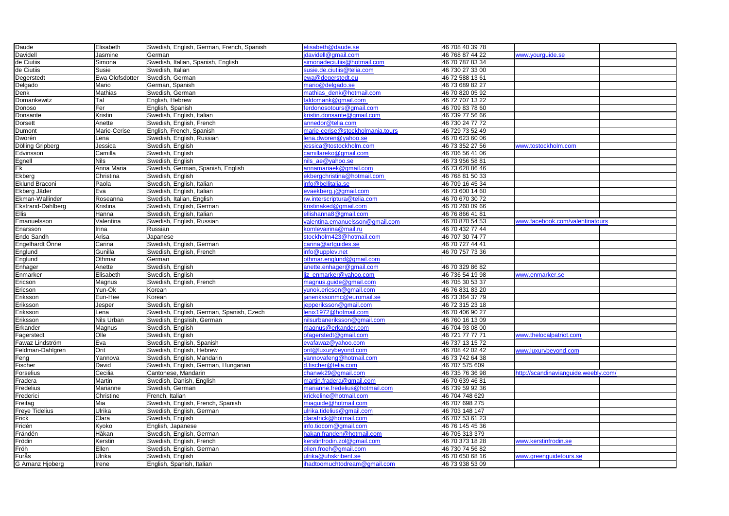| Daude                    | Elisabeth          | Swedish, English, German, French, Spanish | elisabeth@daude.se                           | 46 708 40 39 78                    |                                      |  |
|--------------------------|--------------------|-------------------------------------------|----------------------------------------------|------------------------------------|--------------------------------------|--|
| <b>Davidell</b>          | Jasmine            | German                                    | jdavidell@gmail.com                          | 46 768 87 44 22                    | www.yourguide.se                     |  |
| de Ciutiis               | Simona             | Swedish, Italian, Spanish, English        | simonadeciutiis@hotmail.com                  | 46 70 787 83 34                    |                                      |  |
| de Ciutiis               | Susie              | Swedish, Italian                          | susie.de.ciutiis@telia.com                   | 46 730 27 33 00                    |                                      |  |
| Degerstedt               | Ewa Olofsdotter    | Swedish, German                           | ewa@degerstedt.eu                            | 46 72 588 13 61                    |                                      |  |
| Delgado                  | Mario              | German, Spanish                           | mario@delgado.se                             | 46 73 689 82 27                    |                                      |  |
| Denk                     | Mathias            | Swedish, German                           | mathias_denk@hotmail.com                     | 46 70 820 05 92                    |                                      |  |
| Domankewitz              | Tal                | English, Hebrew                           | taldomank@gmail.com                          | 46 72 707 13 22                    |                                      |  |
| Donoso                   | Fer                | English, Spanish                          | ferdonosotours@gmail.com                     | 46 709 83 78 60                    |                                      |  |
| Donsante                 | Kristin            | Swedish, English, Italian                 | kristin.donsante@gmail.com                   | 46 739 77 56 66                    |                                      |  |
| <b>Dorsett</b>           | Anette             | Swedish, English, French                  | annedor@telia.com                            | 46 730 24 77 72                    |                                      |  |
| Dumont                   | Marie-Cerise       | English, French, Spanish                  | marie-cerise@stockholmania.tours             | 46 729 73 52 49                    |                                      |  |
| Dworén                   | Lena               | Swedish, English, Russian                 | lena.dworen@yahoo.se                         | 46 70 623 60 06                    |                                      |  |
| <b>Dölling Gripberg</b>  | Jessica            | Swedish, English                          | jessica@tostockholm.com                      | 46 73 352 27 56                    | www.tostockholm.com                  |  |
| Edvinsson                | Camilla            | Swedish, English                          | camillareko@gmail.com                        | 46 706 56 41 06                    |                                      |  |
| Egnell<br>Ek<br>Ekberg   | <b>Nils</b>        | Swedish, English                          | nils_ae@yahoo.se                             | 46 73 956 58 81                    |                                      |  |
|                          | Anna Maria         | Swedish, German, Spanish, English         | annamariaek@gmail.com                        | 46 73 628 86 46                    |                                      |  |
|                          | Christina          | Swedish, English                          | ekbergchristina@hotmail.com                  | 46 768 81 50 33                    |                                      |  |
| Eklund Braconi           | Paola              | Swedish, English, Italian                 | info@bellitalia.se                           | 46 709 16 45 34                    |                                      |  |
| Ekberg Jäder             | Eva                | Swedish, English, Italian                 | evaekberg.j@gmail.com                        | 46 73 600 14 60                    |                                      |  |
| Ekman-Wallinder          | Roseanna           | Swedish, Italian, English                 | rw.interscriptura@telia.com                  | 46 70 670 30 72                    |                                      |  |
| <b>Ekstrand-Dahlberg</b> | Kristina           | Swedish, English, German                  | kristinaked@gmail.com                        | 46 70 260 09 66                    |                                      |  |
| <b>Ellis</b>             | Hanna              | Swedish, English, Italian                 | ellishanna8@gmail.com                        | 46 76 866 41 81                    |                                      |  |
| Emanuelsson              | Valentina          | Swedish, English, Russian                 | valentina.emanuelsson@gmail.com              | 46 70 870 54 53                    | www.facebook.com/valentinatours      |  |
| Enarsson                 | Irina              | Russian                                   | komlevairina@mail.ru                         | 46 70 432 77 44                    |                                      |  |
| Endo Sandh               | Arisa              | Japanese                                  | stockholm423@hotmail.com                     | 46 707 30 74 77                    |                                      |  |
| Engelhardt Onne          | Carina             | Swedish, English, German                  | carina@artguides.se                          | 46 70 727 44 41                    |                                      |  |
| Englund                  | Gunilla            | Swedish, English, French                  | info@upplev.net                              | 46 70 757 73 36                    |                                      |  |
| Englund                  | Othmar             | German                                    | othmar.englund@gmail.com                     |                                    |                                      |  |
| Enhager                  | Anette             | Swedish, English                          | anette.enhager@gmail.com                     | 46 70 329 86 82                    |                                      |  |
| Enmarker                 | Elisabeth          | Swedish, English                          | liz_enmarker@yahoo.com                       | 46 736 54 19 98                    | www.enmarker.se                      |  |
| Ericson                  | Magnus             | Swedish, English, French                  | magnus.guide@gmail.com                       | 46 705 30 53 37                    |                                      |  |
| Ericson                  | Yun-Ok             | Korean                                    | yunok.ericson@gmail.com                      | 46 76 831 83 20                    |                                      |  |
| Eriksson                 | Eun-Hee            | Korean                                    | janerikssonmc@euromail.se                    | 46 73 364 37 79                    |                                      |  |
| Eriksson                 |                    | Swedish, English                          | jepperiksson@gmail.com                       | 46 72 315 23 18                    |                                      |  |
|                          | Jesper             | Swedish, English, German, Spanish, Czech  | lenix1972@hotmail.com                        | 46 70 406 90 27                    |                                      |  |
| Eriksson<br>Eriksson     | Lena<br>Nils Urban | Swedish, Engslish, German                 |                                              | 46 760 16 13 09                    |                                      |  |
| Erkander                 |                    |                                           | nilsurbaneriksson@gmail.com                  | 46 704 93 08 00                    |                                      |  |
|                          | Magnus             | Swedish, English                          | magnus@erkander.com<br>ofagerstedt@gmail.com |                                    | www.thelocalpatriot.com              |  |
| Fagerstedt               | Olle               | Swedish, English                          |                                              | 46 721 77 77 71                    |                                      |  |
| Fawaz Lindström          | Eva                | Swedish, English, Spanish                 | evafawaz@yahoo.com                           | 46 737 13 15 72                    |                                      |  |
| Feldman-Dahlgren         | Orit               | Swedish, English, Hebrew                  | orit@luxurybeyond.com                        | 46 708 42 02 42<br>46 73 742 64 38 | www.luxurybeyond.com                 |  |
| Feng                     | Yannova            | Swedish, English, Mandarin                | yannovafeng@hotmail.com                      |                                    |                                      |  |
| Fischer                  | David              | Swedish, English, German, Hungarian       | d.fischer@telia.com                          | 46 707 575 609                     |                                      |  |
| Forselius                | Cecilia            | Cantonese, Mandarin                       | chanwk29@gmail.com                           | 46 735 76 36 98                    | http://scandinavianguide.weebly.com/ |  |
| Fradera                  | Martin             | Swedish, Danish, English                  | martin.fradera@gmail.com                     | 46 70 639 46 81                    |                                      |  |
| Fredelius                | Marianne           | Swedish, German                           | marianne.fredelius@hotmail.com               | 46 739 59 92 36                    |                                      |  |
| Frederici                | Christine          | French, Italian                           | krickeline@hotmail.com                       | 46 704 748 629                     |                                      |  |
| Freitag                  | Mia                | Swedish, English, French, Spanish         | miaguide@hotmail.com                         | 46 707 698 275                     |                                      |  |
| Freye Tidelius<br>Frick  | Ulrika             | Swedish, English, German                  | ulrika.tidelius@gmail.com                    | 46 703 148 147                     |                                      |  |
|                          | Clara              | Swedish, English                          | clarafrick@hotmail.com                       | 46 707 53 61 23                    |                                      |  |
| Fridén                   | Kyoko              | English, Japanese                         | info.tiocom@gmail.com                        | 46 76 145 45 36                    |                                      |  |
| Frändén                  | Håkan              | Swedish, English, German                  | hakan.franden@hotmail.com                    | 46 705 313 379                     |                                      |  |
| Frödin                   | Kerstin            | Swedish, English, French                  | kerstinfrodin.zol@gmail.com                  | 46 70 373 18 28                    | www.kerstinfrodin.se                 |  |
| Fröh                     | Ellen              | Swedish, English, German                  | ellen.froeh@gmail.com                        | 46 730 74 56 82                    |                                      |  |
| Furås                    | Ulrika             | Swedish, English                          | ulrika@uhskribent.se                         | 46 70 650 68 16                    | www.greenguidetours.se               |  |
| G Arnanz Hjoberg         | Irene              | English, Spanish, Italian                 | ihadtoomuchtodream@gmail.com                 | 46 73 938 53 09                    |                                      |  |

| www.yourguide.se                     |  |
|--------------------------------------|--|
|                                      |  |
|                                      |  |
|                                      |  |
|                                      |  |
|                                      |  |
|                                      |  |
|                                      |  |
|                                      |  |
|                                      |  |
|                                      |  |
|                                      |  |
|                                      |  |
|                                      |  |
|                                      |  |
| www.tostockholm.com                  |  |
|                                      |  |
|                                      |  |
|                                      |  |
|                                      |  |
|                                      |  |
|                                      |  |
|                                      |  |
|                                      |  |
|                                      |  |
|                                      |  |
|                                      |  |
|                                      |  |
| www.facebook.com/valentinatours      |  |
|                                      |  |
|                                      |  |
|                                      |  |
|                                      |  |
|                                      |  |
|                                      |  |
|                                      |  |
| www.enmarker.se                      |  |
|                                      |  |
|                                      |  |
|                                      |  |
|                                      |  |
|                                      |  |
|                                      |  |
|                                      |  |
|                                      |  |
|                                      |  |
| www.thelocalpatriot.com              |  |
|                                      |  |
|                                      |  |
| www.luxurybeyond.com                 |  |
|                                      |  |
|                                      |  |
| http://scandinavianguide.weebly.com/ |  |
|                                      |  |
|                                      |  |
|                                      |  |
|                                      |  |
|                                      |  |
|                                      |  |
|                                      |  |
|                                      |  |
|                                      |  |
|                                      |  |
|                                      |  |
| www.kerstinfrodin.se                 |  |
|                                      |  |
| www.greenguidetours.se               |  |
|                                      |  |
|                                      |  |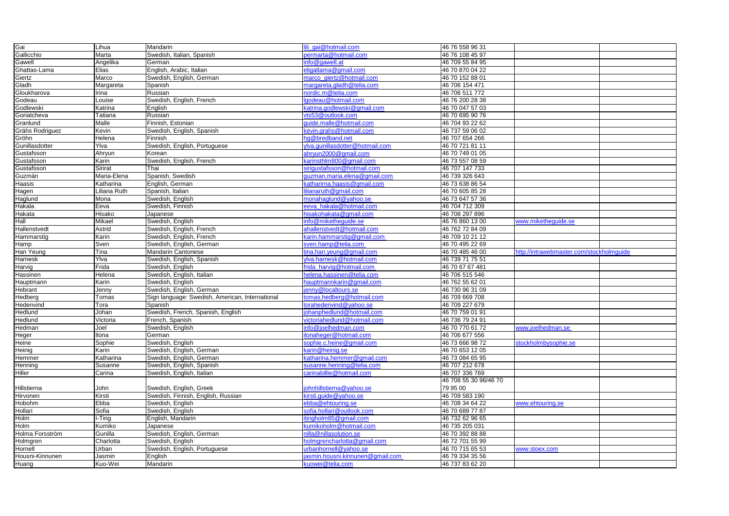| Gai             | Lihua          | Mandarin                                        | ili gai@hotmail.com             | 46 76 558 96 31       |                                          |  |
|-----------------|----------------|-------------------------------------------------|---------------------------------|-----------------------|------------------------------------------|--|
| Gallicchio      | Marta          | Swedish, Italian, Spanish                       | permarta@hotmail.com            | 46 76 108 45 97       |                                          |  |
| Gawell          | Angelika       | German                                          | info@gawell.at                  | 46 709 55 84 95       |                                          |  |
| Ghattas-Lama    | <b>Elias</b>   | English, Arabic, Italian                        | eligatlama@gmail.com            | 46 70 870 04 22       |                                          |  |
| Giertz          | Marco          | Swedish, English, German                        | marco_giertz@hotmail.com        | 46 70 152 88 01       |                                          |  |
| Gladh           | Margareta      | Spanish                                         | margareta.gladh@telia.com       | 46 706 154 471        |                                          |  |
| Gloukharova     | Irina          | Russian                                         | nordic.m@telia.com              | 46 706 511 772        |                                          |  |
| Godeau          | Louise         | Swedish, English, French                        | godeau@hotmail.com              | 46 76 200 28 38       |                                          |  |
| Godlewski       | Katrina        | English                                         | satrina.godlewski@gmail.com     | 46 70 047 57 03       |                                          |  |
| Goriatcheva     | Tatiana        | Russian                                         | /ts53@outlook.com               | 46 70 695 90 76       |                                          |  |
| Granlund        | Malle          | Finnish, Estonian                               | quide.malle@hotmail.com         | 46 704 93 22 62       |                                          |  |
| Grähs Rodriguez | Kevin          | Swedish, English, Spanish                       | kevin.grahs@hotmail.com         | 46 737 59 06 02       |                                          |  |
| Gröhn           | Helena         | Finnish                                         | ng@bredband.net                 | 46 707 654 266        |                                          |  |
| Gunillasdotter  | Ylva           | Swedish, English, Portuguese                    | ylva.gunillasdotter@hotmail.com | 46 70 721 81 11       |                                          |  |
| Gustafsson      | Ahryun         | Korean                                          | ahryun2000@gmail.com            | 46 70 749 01 05       |                                          |  |
| Gustafsson      | Karin          | Swedish, English, French                        | karinsthlm800@gmail.com         | 46 73 557 08 59       |                                          |  |
| Gustafsson      | <b>Sirirat</b> | Thai                                            | sirigustafsson@hotmail.com      | 46 707 147 733        |                                          |  |
| Guzmán          | Maria-Elena    | Spanish, Swedish                                | guzman.maria.elena@gmail.com    | 46 739 326 643        |                                          |  |
| Haasis          | Katharina      | English, German                                 | katharirna.haasis@gmail.com     | 46 73 638 86 54       |                                          |  |
| Hagen           | Liliana Ruth   | Spanish, Italian                                | ilianaruth@gmail.com            | 46 70 605 85 28       |                                          |  |
| Haglund         | Mona           | Swedish, English                                | monahaglund@yahoo.se            | 46 73 647 57 36       |                                          |  |
| Hakala          | Eeva           | Swedish, Finnish                                | eeva hakala@hotmail.com         | 46 704 712 309        |                                          |  |
| Hakata          | Hisako         | Japanese                                        | nisakohakata@gmail.com          | 46 708 297 896        |                                          |  |
| Hall            | Mikael         | Swedish, English                                | nfo@miketheguide.se             | 46 76 860 13 00       | www.miketheguide.se                      |  |
| Hallenstvedt    | Astrid         | Swedish, English, French                        | ahallenstvedt@hotmail.com       | 46 762 72 84 09       |                                          |  |
| Hammarstig      | Karin          | Swedish, English, French                        | karin.hammarstig@gmail.com      | 46 709 10 21 12       |                                          |  |
| Hamp            | Sven           |                                                 | sven.hamp@telia.com             | 46 70 495 22 69       |                                          |  |
| Han Yeung       | Tina           | Swedish, English, German                        | tina.han.yeung@gmail.com        | 46 70 485 46 00       | http://intrawebmaster.com/stockholmguide |  |
|                 |                | <b>Mandarin Cantonese</b>                       |                                 |                       |                                          |  |
| Harnesk         | Ylva           | Swedish, English, Spanish                       | ylva.harnesk@hotmail.com        | 46 739 71 75 51       |                                          |  |
| Harvig          | Frida          | Swedish, English                                | frida_harvig@hotmail.com        | 46 70 67 67 481       |                                          |  |
| Hassinen        | Helena         | Swedish, English, Italian                       | nelena.hassinen@telia.com       | 46 706 515 546        |                                          |  |
| Hauptmann       | Karin          | Swedish, English                                | nauptmannkarin@gmail.com        | 46 762 55 62 01       |                                          |  |
| <b>Hebrant</b>  | Jenny          | Swedish, English, German                        | enny@localtours.se              | 46 730 96 31 09       |                                          |  |
| <b>Hedberg</b>  | Tomas          | Sign language: Swedish, American, International | tomas.hedberg@hotmail.com       | 46 709 669 708        |                                          |  |
| Hedenvind       | Tora           | Spanish                                         | torahedenvind@yahoo.se          | 46 709 227 679        |                                          |  |
| <b>Hedlund</b>  | Johan          | Swedish, French, Spanish, English               | johanphedlund@hotmail.com       | 46 70 759 01 91       |                                          |  |
| Hedlund         | Victoria       | French, Spanish                                 | victoriahedlund@hotmail.com     | 46 736 79 24 91       |                                          |  |
| Hedman          | Joel           | Swedish, English                                | info@joelhedman.com             | 46 70 770 61 72       | www.joelhedman.se                        |  |
| Heger           | Ilona          | German                                          | ilonaheger@hotmail.com          | 46 706 677 556        |                                          |  |
| Heine           | Sophie         | Swedish, English                                | sophie.c.heine@gmail.com        | 46 73 666 98 72       | stockholmbysophie.se                     |  |
| <b>Heinig</b>   | Karin          | Swedish, English, German                        | karin@heinig.se                 | 46 70 653 12 05       |                                          |  |
| Hemmer          | Katharina      | Swedish, English, German                        | katharina.hemmer@gmail.com      | 46 73 084 65 95       |                                          |  |
| Henning         | Susanne        | Swedish, English, Spanish                       | susanne.henning@telia.com       | 46 707 212 678        |                                          |  |
| <b>Hiller</b>   | Carina         | Swedish, English, Italian                       | carinabillie@hotmail.com        | 46 707 336 769        |                                          |  |
|                 |                |                                                 |                                 | 46 708 55 30 96/46 70 |                                          |  |
| Hillstierna     | John           | Swedish, English, Greek                         | ohnhillstierna@yahoo.se         | 79 95 00              |                                          |  |
| <b>Hirvonen</b> | Kirsti         | Swedish, Finnish, English, Russian              | kirsti.guide@yahoo.se           | 46 709 583 190        |                                          |  |
| <b>Hobohm</b>   | Ebba           | Swedish, English                                | ebba@ehtouring.se               | 46 708 34 64 22       | www.ehtouring.se                         |  |
| Hollari         | Sofia          | Swedish, English                                | sofia.hollari@outlook.com       | 46 70 689 77 87       |                                          |  |
| Holm            | I-Ting         | English, Mandarin                               | itingholm85@gmail.com           | 46 732 62 96 65       |                                          |  |
| <b>Holm</b>     | Kumiko         | Japanese                                        | kumikoholm@hotmail.com          | 46 735 205 031        |                                          |  |
| Holma Forsström | Gunilla        | Swedish, English, German                        | nilla@nillasolution.se          | 46 70 392 88 88       |                                          |  |
| Holmgren        | Charlotta      | Swedish, English                                | holmgrencharlotta@gmail.com     | 46 72 701 55 99       |                                          |  |
| Hornell         | Urban          | Swedish, English, Portuguese                    | urbanhornell@yahoo.se           | 46 70 715 65 53       | www.stoex.com                            |  |
| Housni-Kinnunen | Jasmin         | English                                         | asmin.housni.kinnunen@gmail.com | 46 79 334 35 56       |                                          |  |
| Huang           | Kuo-Wei        | Mandarin                                        | kuowei@telia.com                | 46 737 83 62 20       |                                          |  |
|                 |                |                                                 |                                 |                       |                                          |  |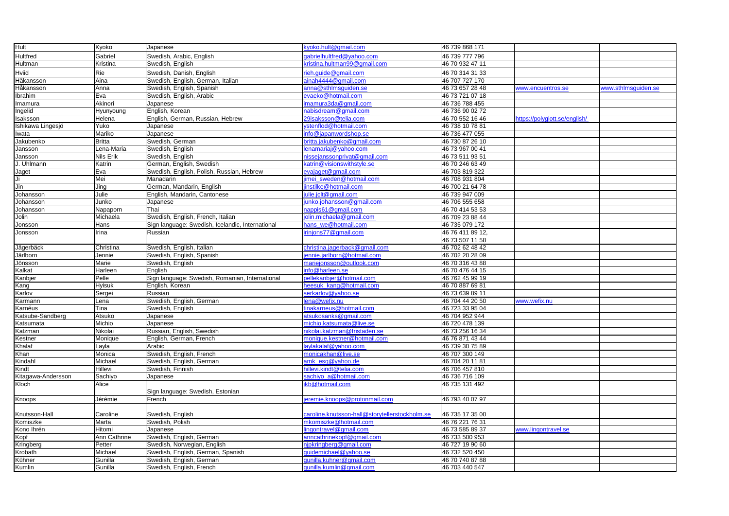| <b>Hult</b>           | Kyoko            | Japanese                                         | kyoko.hult@gmail.com                           | 46 739 868 171   |                               |                     |
|-----------------------|------------------|--------------------------------------------------|------------------------------------------------|------------------|-------------------------------|---------------------|
| <b>Hultfred</b>       | Gabriel          | Swedish, Arabic, English                         | gabrielhultfred@yahoo.com                      | 46 739 777 796   |                               |                     |
| Hultman               | Kristina         | Swedish, English                                 | kristina.hultman99@gmail.com                   | 46 70 932 47 11  |                               |                     |
| <b>Hviid</b>          | Rie              | Swedish, Danish, English                         | rieh.guide@gmail.com                           | 46 70 314 31 33  |                               |                     |
| Håkansson             | Aina             | Swedish, English, German, Italian                | ainah4444@gmail.com                            | 46 707 727 170   |                               |                     |
| Håkansson             | Anna             | Swedish, English, Spanish                        | anna@sthlmsguiden.se                           | 46 73 657 28 48  | www.encuentros.se             | www.sthlmsguiden.se |
| Ibrahim               | Eva              | Swedish, English, Arabic                         | evaeko@hotmail.com                             | 46 73 721 07 18  |                               |                     |
| Imamura               | Akinori          | Japanese                                         | imamura3da@gmail.com                           | 46 736 788 455   |                               |                     |
| Ingelid               | Hyunyoung        | English, Korean                                  | nabisdream@gmail.com                           | 46 736 90 02 72  |                               |                     |
| Isaksson              | Helena           | English, German, Russian, Hebrew                 | 29isaksson@telia.com                           | 46 70 552 16 46  | https://polyglott.se/english/ |                     |
| Ishikawa Lingesjö     | Yuko             | Japanese                                         | ystenflod@hotmail.com                          | 46 738 10 78 81  |                               |                     |
| Iwata                 | Mariko           | Japanese                                         | info@japanwordshop.se                          | 46 736 477 055   |                               |                     |
| Jakubenko             | <b>Britta</b>    | Swedish, German                                  | britta.jakubenko@gmail.com                     | 46 730 87 26 10  |                               |                     |
| Jansson               | Lena-Maria       | Swedish, English                                 | lenamariaj@yahoo.com                           | 46 73 967 00 41  |                               |                     |
| Jansson               | <b>Nils Erik</b> | Swedish, English                                 | nissejanssonprivat@gmail.com                   | 46 73 511 93 51  |                               |                     |
| J. Uhlmann            | Katrin           | German, English, Swedish                         | katrin@visionswithstyle.se                     | 46 70 246 63 49  |                               |                     |
| Jaget                 | Eva              | Swedish, English, Polish, Russian, Hebrew        | evajaget@gmail.com                             | 46 703 819 322   |                               |                     |
|                       | Mei              | Manadarin                                        | jimei sweden@hotmail.com                       | 46 708 931 804   |                               |                     |
| $\frac{J_i}{J_{in}}$  | Jing             | German, Mandarin, English                        | jinstilke@hotmail.com                          | 46 700 21 64 78  |                               |                     |
| Johansson             | Julie            | English, Mandarin, Cantonese                     | julie.jclt@gmail.com                           | 46 739 947 009   |                               |                     |
| Johansson             | Junko            | Japanese                                         | junko.johansson@gmail.com                      | 46 706 555 658   |                               |                     |
| Johansson             | Napaporn         | Thai                                             | nappis61@gmail.com                             | 46 70 414 53 53  |                               |                     |
| Jolin                 | Michaela         | Swedish, English, French, Italian                | jolin.michaela@gmail.com                       | 46 709 23 88 44  |                               |                     |
| Jonsson               | Hans             | Sign language: Swedish, Icelandic, International | hans_we@hotmail.com                            | 46 735 079 172   |                               |                     |
| Jonsson               |                  | Russian                                          | irinjons77@gmail.com                           | 46 76 411 89 12, |                               |                     |
|                       | Irina            |                                                  |                                                |                  |                               |                     |
|                       |                  |                                                  |                                                | 46 73 507 11 58  |                               |                     |
| Jägerbäck<br>Järlborn | Christina        | Swedish, English, Italian                        | christina.jagerback@gmail.com                  | 46 702 62 48 42  |                               |                     |
|                       | Jennie           | Swedish, English, Spanish                        | ennie.jarlborn@hotmail.com                     | 46 702 20 28 09  |                               |                     |
| Jönsson               | Marie            | Swedish, English                                 | mariejonsson@outlook.com                       | 46 70 316 43 88  |                               |                     |
| Kalkat                | Harleen          | English                                          | info@harleen.se                                | 46 70 476 44 15  |                               |                     |
| Kanbjer               | Pelle            | Sign language: Swedish, Romanian, International  | pellekanbjer@hotmail.com                       | 46 762 45 99 19  |                               |                     |
| Kang                  | <b>Hyisuk</b>    | English, Korean                                  | heesuk_kang@hotmail.com                        | 46 70 887 69 81  |                               |                     |
| Karlov                | Sergei           | Russian                                          | serkarlov@yahoo.se                             | 46 73 639 89 11  |                               |                     |
| Karmann               | Lena             | Swedish, English, German                         | lena@wefix.nu                                  | 46 704 44 20 50  | www.wefix.nu                  |                     |
| Karnéus               | Tina             | Swedish, English                                 | tinakarneus@hotmail.com                        | 46 723 33 95 04  |                               |                     |
| Katsube-Sandberg      | Atsuko           | Japanese                                         | atsukosanks@gmail.com                          | 46 704 952 944   |                               |                     |
| Katsumata             | Michio           | Japanese                                         | michio.katsumata@live.se                       | 46 720 478 139   |                               |                     |
| Katzman               | Nikolai          | Russian, English, Swedish                        | nikolai.katzman@fristaden.se                   | 46 73 256 16 34  |                               |                     |
| Kestner               | Monique          | English, German, French                          | monique.kestner@hotmail.com                    | 46 76 871 43 44  |                               |                     |
| Khalaf                | Layla            | Arabic                                           | laylakalaf@yahoo.com                           | 46 739 30 75 89  |                               |                     |
| Khan                  | Monica           | Swedish, English, French                         | monicakhan@live.se                             | 46 707 300 149   |                               |                     |
| Kindahl               | Michael          | Swedish, English, German                         | amk_esq@yahoo.de                               | 46 704 20 11 81  |                               |                     |
| Kindt                 | Hillevi          | Swedish, Finnish                                 | hillevi.kindt@telia.com                        | 46 706 457 810   |                               |                     |
| Kitagawa-Andersson    | Sachiyo          | Japanese                                         | sachiyo_a@hotmail.com                          | 46 736 716 109   |                               |                     |
| Kloch                 | Alice            |                                                  | ikb@hotmail.com                                | 46 735 131 492   |                               |                     |
|                       |                  | Sign language: Swedish, Estonian                 |                                                |                  |                               |                     |
| Knoops                | Jérémie          | French                                           | jeremie.knoops@protonmail.com                  | 46 793 40 07 97  |                               |                     |
|                       |                  |                                                  |                                                |                  |                               |                     |
| Knutsson-Hall         | Caroline         | Swedish, English                                 | caroline.knutsson-hall@storytellerstockholm.se | 46 735 17 35 00  |                               |                     |
| Komiszke              | Marta            | Swedish, Polish                                  | mkomiszke@hotmail.com                          | 46 76 221 76 31  |                               |                     |
| Kono Ihrén            | Hitomi           | Japanese                                         | lingontravel@gmail.com                         | 46 73 585 89 37  | www.lingontravel.se           |                     |
| Kopf                  | Ann Cathrine     | Swedish, English, German                         | anncathrinekopf@gmail.com                      | 46 733 500 953   |                               |                     |
| Kringberg             | Petter           | Swedish, Norwegian, English                      | njpkringberg@gmail.com                         | 46 727 19 90 60  |                               |                     |
| Krobath               | Michael          | Swedish, English, German, Spanish                | guidemichael@yahoo.se                          | 46 732 520 450   |                               |                     |
| Kühner                | Gunilla          | Swedish, English, German                         | gunilla.kuhner@gmail.com                       | 46 70 740 87 88  |                               |                     |
| Kumlin                | Gunilla          | Swedish, English, French                         | qunilla.kumlin@gmail.com                       | 46 703 440 547   |                               |                     |
|                       |                  |                                                  |                                                |                  |                               |                     |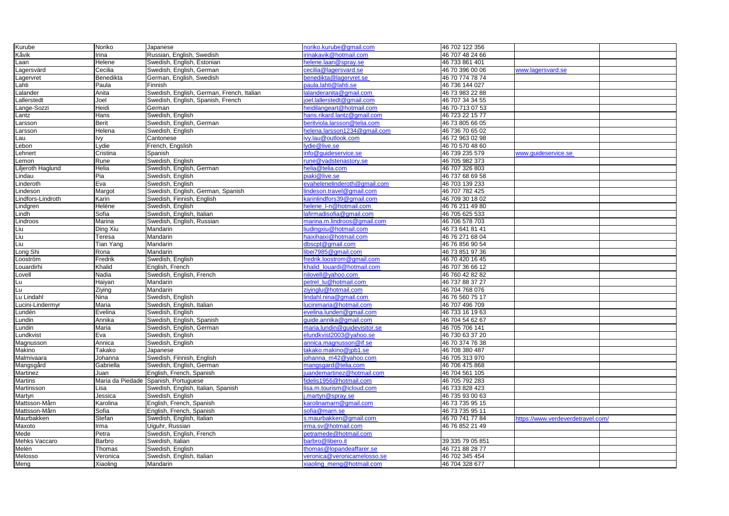| Kurube               | Noriko               | Japanese                                  | noriko.kurube@gmail.com                                  | 46 702 122 356                   |                                   |  |
|----------------------|----------------------|-------------------------------------------|----------------------------------------------------------|----------------------------------|-----------------------------------|--|
| Kåvik                | Irina                | Russian, English, Swedish                 | irinakavik@hotmail.com                                   | 46 707 48 24 66                  |                                   |  |
| Laan                 | Helene               | Swedish, English, Estonian                | helene.laan@spray.se                                     | 46 733 861 401                   |                                   |  |
| Lagersvärd           | Cecilia              | Swedish, English, German                  | cecilia@lagersvard.se                                    | 46 70 396 00 06                  | www.lagersvard.se                 |  |
| Lagervret            | Benedikta            | German, English, Swedish                  | benedikta@lagervret.se                                   | 46 70 774 78 74                  |                                   |  |
| Lahti                | Paula                | Finnish                                   | paula.lahti@lahti.se                                     | 46 736 144 027                   |                                   |  |
| Lalander             | Anita                | Swedish, English, German, French, Italian | lalanderanita@gmail.com                                  | 46 73 983 22 88                  |                                   |  |
| Lallerstedt          | Joel                 | Swedish, English, Spanish, French         | joel.lallerstedt@gmail.com                               | 46 707 34 34 55                  |                                   |  |
| ange-Sozzi           | Heidi                | German                                    | heidilangeart@hotmail.com                                | 46 70-713 07 53                  |                                   |  |
| Lantz                | Hans                 | Swedish, English                          | hans.rikard.lantz@gmail.com                              | 46 723 22 15 77                  |                                   |  |
| _arsson              | <b>Berit</b>         | Swedish, English, German                  | beritviola.larsson@telia.com                             | 46 73 805 66 05                  |                                   |  |
| _arsson              | Helena               | Swedish, English                          | helena.larsson1234@gmail.com                             | 46 736 70 65 02                  |                                   |  |
| Lau                  | lvy                  | Cantonese                                 | ivy.lau@outlook.com                                      | 46 72 963 02 98                  |                                   |  |
| Lebon                | Lydie                | French, Engslish                          | lydie@live.se                                            | 46 70 570 48 60                  |                                   |  |
| Lehnert              | Cristina             | Spanish                                   | info@guideservice.se                                     | 46 739 235 579                   | www.guideservice.se               |  |
| Lemon                | Rune                 | Swedish, English                          | rune@vadstenastory.se                                    | 46 705 982 373                   |                                   |  |
| Liljeroth Haglund    | Helia                | Swedish, English, German                  | helia@telia.com                                          | 46 707 326 803                   |                                   |  |
| Lindau               | Pia                  | Swedish, English                          | piaki@live.se                                            | 46 737 68 69 58                  |                                   |  |
| Linderoth            | Eva                  | Swedish, English                          | evahelenelinderoth@gmail.com                             | 46 703 139 233                   |                                   |  |
| Lindeson             | Margot               | Swedish, English, German, Spanish         | lindeson.travel@gmail.com                                | 46 707 782 425                   |                                   |  |
| Lindfors-Lindroth    | Karin                | Swedish, Finnish, English                 | karinlindfors39@gmail.com                                | 46 709 30 18 02                  |                                   |  |
| Lindgren             | Heléne               | Swedish, English                          | helene_l-n@hotmail.com                                   | 46 76 211 49 80                  |                                   |  |
| Lindh                | Sofia                | Swedish, English, Italian                 | lafirmadisofia@gmail.com                                 | 46 705 625 533                   |                                   |  |
| Lindroos             | Marina               | Swedish, English, Russian                 | marina.m.lindroos@gmail.com                              | 46 706 578 703                   |                                   |  |
|                      |                      |                                           |                                                          |                                  |                                   |  |
| Liu                  | Ding Xiu             | Mandarin                                  | liudingxiu@hotmail.com                                   | 46 73 641 81 41                  |                                   |  |
| Liu                  | Teresa               | Mandarin                                  | haixihaixi@hotmail.com                                   | 46 76 271 68 04                  |                                   |  |
| Liu                  | Tian Yang            | Mandarin                                  | dbscpt@gmail.com                                         | 46 76 856 90 54                  |                                   |  |
| Long Shi             | Rona                 | Mandarin                                  | libei7985@gmail.com                                      | 46 73 851 97 36                  |                                   |  |
| Looström             | Fredrik              | Swedish, English                          | fredrik.loostrom@gmail.com                               | 46 70 420 16 45                  |                                   |  |
| Louardirhi           | Khalid               | English, French                           | khalid louardi@hotmail.com                               | 46 707 36 66 12                  |                                   |  |
|                      |                      |                                           |                                                          |                                  |                                   |  |
| Lovell               | Nadia                | Swedish, English, French                  | nilovell@yahoo.com                                       | 46 760 42 82 82                  |                                   |  |
| Lu                   | Haiyan               | Mandarin                                  | petrel lu@hotmail.com                                    | 46 737 88 37 27                  |                                   |  |
| Lu                   | Ziying               | Mandarin                                  | ziyinglu@hotmail.com                                     | 46 704 768 076                   |                                   |  |
| Lu Lindahl           | Nina                 | Swedish, English                          | lindahl.nina@gmail.com                                   | 46 76 560 75 17                  |                                   |  |
| Lucini-Lindermyr     | Maria                | Swedish, English, Italian                 | lucinimaria@hotmail.com                                  | 46 707 496 709                   |                                   |  |
| Lundén               | Evelina              | Swedish, English                          | evelina.lunden@gmail.com                                 | 46 733 16 19 63                  |                                   |  |
| Lundin               | Annika               | Swedish, English, Spanish                 | guide.annika@gmail.com                                   | 46 704 54 62 67                  |                                   |  |
| Lundin               | Maria                | Swedish, English, German                  | maria.lundin@guidevisitor.se                             | 46 705 706 141                   |                                   |  |
| Lundkvist            | Eva                  | Swedish, English                          | elundkvist2003@yahoo.se                                  | 46 730 63 37 20                  |                                   |  |
|                      | Annica               |                                           |                                                          | 46 70 374 76 38                  |                                   |  |
| Magnusson            |                      | Swedish, English                          | annica.magnusson@if.se                                   |                                  |                                   |  |
| Makino<br>Malmivaara | Takako<br>Johanna    | Japanese<br>Swedish, Finnish, English     | takako.makino@jpb1.se<br>iohanna m42@yahoo.com           | 46 708 380 487<br>46 705 313 970 |                                   |  |
|                      |                      |                                           | mangsgard@telia.com                                      |                                  |                                   |  |
| Mangsgård            | Gabriella            | Swedish, English, German                  |                                                          | 46 706 475 868                   |                                   |  |
| Martinez             | Juan                 | English, French, Spanish                  | juandemartinez@hotmail.com                               | 46 704 561 105                   |                                   |  |
| <b>Martins</b>       |                      | Maria da Piedade Spanish, Portuguese      | fidelis1956@hotmail.com                                  | 46 705 792 283                   |                                   |  |
| Martinsson           | Lisa                 | Swedish, English, Italian, Spanish        | lisa.m.tourism@icloud.com                                | 46 733 828 423                   |                                   |  |
| Martyn               | Jessica              | Swedish, English                          | i.martyn@spray.se                                        | 46 735 93 00 63                  |                                   |  |
| Mattsson-Mårn        | Karolina             | English, French, Spanish                  | karolinamarn@gmail.com                                   | 46 73 735 95 15                  |                                   |  |
| Mattsson-Mårn        | Sofia                | English, French, Spanish                  | sofia@marn.se                                            | 46 73 735 95 11                  |                                   |  |
| Maurbakken           | Stefan               | Swedish, English, Italian                 | s.maurbakken@gmail.com                                   | 46 70 741 77 84                  | https://www.verdeverdetravel.com/ |  |
| Maxoto               | Irma                 | Uiguhr, Russian                           | irma.sv@hotmail.com                                      | 46 76 852 21 49                  |                                   |  |
| Mede                 | Petra                | Swedish, English, French                  | petramede@hotmail.com                                    |                                  |                                   |  |
| <b>Mehks Vaccaro</b> | Barbro               | Swedish, Italian                          | barbro@libero.it                                         | 39 335 79 05 851                 |                                   |  |
| Melén                | Thomas               | Swedish, English                          | thomas@lopandeaffarer.se                                 | 46 721 88 28 77                  |                                   |  |
| Melosso<br>Meng      | Veronica<br>Xiaoling | Swedish, English, Italian<br>Mandarin     | veronica@veronicamelosso.se<br>xiaoling_meng@hotmail.com | 46 702 345 454<br>46 704 328 677 |                                   |  |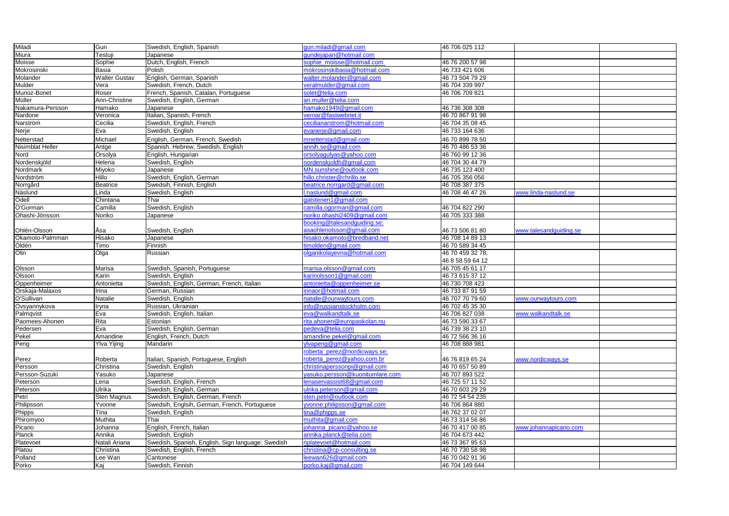| Miladi           | Gun                  | Swedish, English, Spanish                         | gun.miladi@gmail.com            | 46 706 025 112   |                        |  |
|------------------|----------------------|---------------------------------------------------|---------------------------------|------------------|------------------------|--|
| Miura            | Testuji              | Japanese                                          | gundejapan@hotmail.com          |                  |                        |  |
| Moisse           | Sophie               | Dutch, English, French                            | sophie_moisse@hotmail.com       | 46 76 200 57 98  |                        |  |
| Mokrosinski      | <b>Basia</b>         | Polish                                            | mokrosinskibasia@hotmail.com    | 46 733 421 606   |                        |  |
| Molander         | <b>Walter Gustav</b> | English, German, Spanish                          | walter.molander@gmail.com       | 46 73 504 79 29  |                        |  |
| Mulder           | Vera                 | Swedish, French, Dutch                            | veralmulder@gmail.com           | 46 704 339 997   |                        |  |
| Munoz-Bonet      | Roser                | French, Spanish, Catalan, Portuguese              | solet@telia.com                 | 46 706 709 821   |                        |  |
| <b>Müller</b>    | Ann-Christine        | Swedish, English, German                          | an.muller@telia.com             |                  |                        |  |
| Nakamura-Persson | Hamako               | Japanese                                          | namako1949@gmail.com            | 46 736 308 308   |                        |  |
| Nardone          | Veronica             | Italian, Spanish, French                          | vernar@fastwebnet.it            | 46 70 867 91 98  |                        |  |
| Narström         | Cecilia              | Swedish, English, French                          | cecilianarstrom@hotmail.com     | 46 704 35 08 45  |                        |  |
| Nerje            | Eva                  | Swedish, English                                  | evanerje@gmail.com              | 46 733 164 636   |                        |  |
| Netterstad       | Michael              | English, German, French, Swedish                  | mnetterstad@gmail.com           | 46 70 899 78 50  |                        |  |
| Nisimblat Heller | Antge                | Spanish. Hebrew, Swedish, English                 | annih.se@gmail.com              | 46 70 486 53 36  |                        |  |
| Nord             | Orsolya              | English, Hungarian                                | orsolyagulyas@yahoo.com         | 46 760 99 12 36  |                        |  |
| Nordenskjöld     | Helena               | Swedish, English                                  | nordenskjoldh@gmail.com         | 46 704 30 44 79  |                        |  |
| Nordmark         | Miyoko               | Japanese                                          | MN.sunshine@outlook.com         | 46 735 123 400   |                        |  |
| Nordström        | Hillo                | Swedish, English, German                          | hillo.christer@chrillo.se       | 46 705 356 056   |                        |  |
| Norrgård         | <b>Beatrice</b>      | Swedsih, Finnish, English                         | beatrice.norrgard@gmail.com     | 46 708 387 375   |                        |  |
|                  |                      |                                                   |                                 |                  | www.linda-naslund.se   |  |
| Näslund          | Linda                | Swedish, English                                  | naslund@gmail.com               | 46 708 46 47 26  |                        |  |
| Odell            | Chintana             | Thai                                              | gatstenen1@gmail.com            |                  |                        |  |
| O'Gorman         | Camilla              | Swedish, English                                  | camilla.ogorman@gmail.com       | 46 704 822 290   |                        |  |
| Ohashi-Jönsson   | Noriko               | Japanese                                          | noriko.ohashi2409@gmail.com     | 46 705 333 388   |                        |  |
|                  |                      |                                                   | booking@talesandguiding.se;     |                  |                        |  |
| Ohlén-Olsson     | Åsa                  | Swedish, English                                  | asaohlenolsson@gmail.com        | 46 73 506 81 80  | www.talesandguiding.se |  |
| Okamoto-Palmman  | Hisako               | Japanese                                          | hisako.okamoto@bredband.net     | 46 708 14 89 13  |                        |  |
| Oldén            | Timo                 | Finnish                                           | imolden@gmail.com               | 46 70 589 34 45  |                        |  |
| Olin             | Olga                 | Russian                                           | olganikolayevna@hotmail.com     | 46 70 459 32 78, |                        |  |
|                  |                      |                                                   |                                 | 46 8 58 59 64 12 |                        |  |
| Olsson           | Marisa               | Swedish, Spanish, Portuguese                      | marisa.olsson@gmail.com         | 46 705 45 61 17  |                        |  |
| Olsson           | Karin                | Swedish, English                                  | <u>carinolsson1@gmail.com</u>   | 46 73 615 37 12  |                        |  |
| Oppenheimer      | Antonietta           | Swedish, English, German, French, Italian         | antonietta@oppenheimer.se       | 46 730 708 423   |                        |  |
| Orskaja-Malaxos  | Irina                | German, Russian                                   | irinaor@hotmail.com             | 46 733 87 91 59  |                        |  |
| O'Sullivan       | Natalie              | Swedish, English                                  | natalie@ourwaytours.com         | 46 707 70 79 60  | www.ourwaytours.com    |  |
| Ovsyannykova     | Iryna                | Russian, Ukrainian                                | nfo@russianstockholm.com        | 46 702 45 35 30  |                        |  |
| Palmqvist        | Eva                  | Swedish, English, Italian                         | eva@walkandtalk.se              | 46 706 827 038   | www.walkandtalk.se     |  |
| Paomees-Ahonen   | Rita                 | Estonian                                          | rita.ahonen@europaskolan.nu     | 46 73 590 33 67  |                        |  |
| Pedersen         | Eva                  | Swedish, English, German                          | pedeva@telia.com                | 46 739 38 23 10  |                        |  |
| Pekel            | Amandine             | English, French, Dutch                            | amandine.pekel@gmail.com        | 46 72 566 36 16  |                        |  |
| Peng             | Ylva Yijing          | Mandarin                                          | ylvapeng@gmail.com              | 46 708 888 981   |                        |  |
|                  |                      |                                                   | roberta_perez@nordicways.se;    |                  |                        |  |
| Perez            | Roberta              | Italian, Spanish, Portuguese, English             | roberta perez@yahoo.com.br      | 46 76 819 65 24  | www.nordicways.se      |  |
| Persson          | Christina            | Swedish, English                                  | christinaperssonpi@gmail.com    | 46 70 657 50 89  |                        |  |
| Persson-Suzuki   | Yasuko               | Japanese                                          | vasuko.persson@kuonitumlare.com | 46 707 893 522   |                        |  |
| Peterson         | Lena                 | Swedish, English, French                          | lenaservassist68@gmail.com      | 46 725 57 11 52  |                        |  |
| Peterson         | Ulrika               | Swedish, English, German                          | ulrika.peterson@gmail.com       | 46 70 603 29 29  |                        |  |
| Petri            | Sten Magnus          | Swedish, English, German, French                  | sten.petri@outlook.com          | 46 72 54 54 235  |                        |  |
| Philipsson       | Yvonne               | Swedsih, Englsih, German, French, Portuguese      | yvonne.philipsson@gmail.com     | 46 706 864 880   |                        |  |
| Phipps           | Tina                 | Swedish, English                                  | tina@phipps.se                  | 46 762 37 02 07  |                        |  |
| Phiromyoo        | Muthita              | Thai                                              | muthita@gmail.com               | 46 73 314 56 86  |                        |  |
| Picano           | Johanna              | English, French, Italian                          | johanna_picano@yahoo.se         | 46 70 417 00 85  | www.johannapicano.com  |  |
| Planck           |                      |                                                   |                                 |                  |                        |  |
|                  | Annika               | Swedish, English                                  | annika.planck@telia.com         | 46 704 673 442   |                        |  |
| Platevoet        | Natali Ariana        | Swedish, Spanish, English, Sign language: Swedish | nplatevoet@hotmail.com          | 46 73 367 95 63  |                        |  |
| Platou           | Christina            | Swedish, English, French                          | christina@cp-consulting.se      | 46 70 730 58 98  |                        |  |
| Polland          | Lee Wan              | Cantonese                                         | leewan626@gmail.com             | 46 70 042 91 36  |                        |  |
| Porko            | Kaj                  | Swedish, Finnish                                  | porko.kaj@gmail.com             | 46 704 149 644   |                        |  |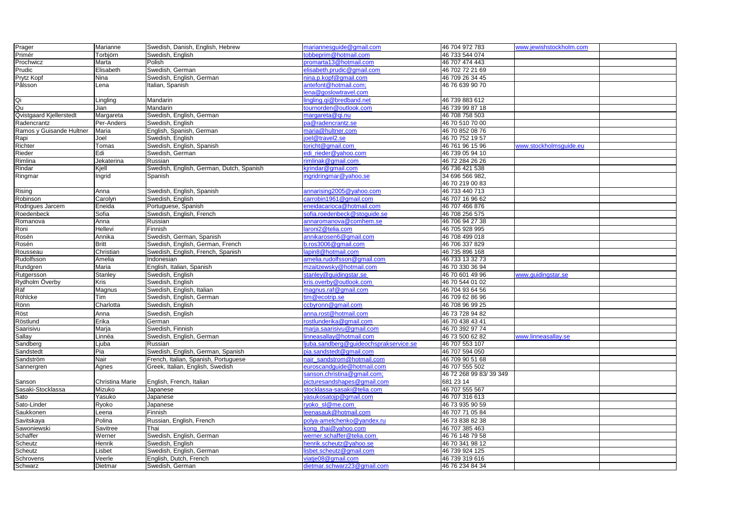| Prager                   | <b>Marianne</b> | Swedish, Danish, English, Hebrew         | mariannesguide@gmail.com              | 46 704 972 783         | www.jewishstockholm.com |  |
|--------------------------|-----------------|------------------------------------------|---------------------------------------|------------------------|-------------------------|--|
| Primér                   | Torbjörn        | Swedish, English                         | obbeprim@hotmail.com                  | 46 733 544 074         |                         |  |
| Prochwicz                | Marta           | Polish                                   | promarta13@hotmail.com                | 46 707 474 443         |                         |  |
| Prudic                   | Elisabeth       | Swedish, German                          | elisabeth.prudic@gmail.com            | 46 702 72 21 69        |                         |  |
| Prytz Kopf               | Nina            | Swedish, English, German                 | nina.p.kopf@gmail.com                 | 46 709 26 34 45        |                         |  |
| Pålsson                  | Lena            | Italian, Spanish                         | antefont@hotmail.com;                 | 46 76 639 90 70        |                         |  |
|                          |                 |                                          | lena@goslowtravel.com                 |                        |                         |  |
| Qi                       | Lingling        | Mandarin                                 | lingling.qi@bredband.net              | 46 739 883 612         |                         |  |
| Qu                       | Jian            | Mandarin                                 | tournorden@outlook.com                | 46 739 99 87 18        |                         |  |
| Qvistgaard Kjellerstedt  | Margareta       | Swedish, English, German                 | margareta@qi.nu                       | 46 708 758 503         |                         |  |
| Radencrantz              | Per-Anders      | Swedish, English                         | pa@radencrantz.se                     | 46 70 510 70 00        |                         |  |
| Ramos y Guisande Hultner | Maria           | English, Spanish, German                 | maria@hultner.com                     | 46 70 852 08 76        |                         |  |
|                          | Joel            | Swedish, English                         | joel@travel2.se                       | 46 70 752 19 57        |                         |  |
| Rapi<br>Richter          | Tomas           | Swedish, English, Spanish                | toricht@gmail.com                     | 46 761 96 15 96        | www.stockholmsguide.eu  |  |
| Rieder                   | Edi             | Swedish, German                          | edi_rieder@yahoo.com                  | 46 739 05 94 10        |                         |  |
| Rimlina                  | Jekaterina      | Russian                                  | rimlinak@gmail.com                    | 46 72 284 26 26        |                         |  |
| Rindar                   | Kjell           | Swedish, English, German, Dutch, Spanish | kjrindar@gmail.com                    | 46 736 421 538         |                         |  |
| Ringmar                  | Ingrid          | Spanish                                  | ingridringmar@yahoo.se                | 34 696 566 982,        |                         |  |
|                          |                 |                                          |                                       | 46 70 219 00 83        |                         |  |
| Rising                   | Anna            | Swedish, English, Spanish                | annarising2005@yahoo.com              | 46 733 440 713         |                         |  |
| Robinson                 | Carolyn         | Swedish, English                         | carrobin1961@gmail.com                | 46 707 16 96 62        |                         |  |
| Rodrigues Jarcem         | Eneida          | Portuguese, Spanish                      | eneidacarioca@hotmail.com             | 46 707 466 876         |                         |  |
| Roedenbeck               | Sofia           | Swedish, English, French                 | sofia.roedenbeck@stoguide.se          | 46 708 256 575         |                         |  |
| Romanova                 | Anna            | Russian                                  | annaromanova@comhem.se                | 46 706 94 27 38        |                         |  |
| Roni                     | <b>Hellevi</b>  | Finnish                                  | laroni2@telia.com                     | 46 705 928 995         |                         |  |
| Rosén                    | Annika          | Swedish, German, Spanish                 | annikarosen6@gmail.com                | 46 708 499 018         |                         |  |
| Rosén                    | <b>Britt</b>    | Swedish, English, German, French         | b.ros3006@gmail.com                   | 46 706 337 829         |                         |  |
| Rousseau                 | Christian       | Swedish, English, French, Spanish        | apin8@hotmail.com                     | 46 735 896 168         |                         |  |
| Rudolfsson               | Amelia          | Indonesian                               | amelia.rudolfsson@gmail.com           | 46 733 13 32 73        |                         |  |
| Rundgren                 | Maria           | English, Italian, Spanish                | mzaitzewsky@hotmail.com               | 46 70 330 36 94        |                         |  |
| Rutgersson               | Stanley         | Swedish, English                         | stanley@guidingstar.se                | 46 70 601 49 96        | www.guidingstar.se      |  |
| Rydholm Överby           | <b>Kris</b>     | Swedish, English                         | kris.overby@outlook.com               | 46 70 544 01 02        |                         |  |
| Räf                      | Magnus          | Swedish, English, Italian                | magnus.raf@gmail.com                  | 46 704 93 64 56        |                         |  |
| Röhlcke                  | Tim             | Swedish, English, German                 | tim@ecotrip.se                        | 46 709 62 86 96        |                         |  |
| Rönn                     | Charlotta       | Swedish, English                         | ccbyronn@gmail.com                    | 46 708 96 99 25        |                         |  |
| Röst                     | Anna            | Swedish, English                         | anna.rost@hotmail.com                 | 46 73 728 94 82        |                         |  |
| Röstlund                 | Erika           | German                                   | rostlunderika@gmail.com               | 46 70 438 43 41        |                         |  |
| Saarisivu                | Marja           | Swedish, Finnish                         | marja.saarisivu@gmail.com             | 46 70 392 97 74        |                         |  |
|                          | Linnéa          | Swedish, English, German                 | linneasallay@hotmail.com              | 46 73 500 62 82        | www.linneasallay.se     |  |
| Sallay<br>Sandberg       | _juba           | Russian                                  | juba.sandberg@guideochsprakservice.se | 46 707 553 107         |                         |  |
| Sandstedt                | Pia             | Swedish, English, German, Spanish        | pia.sandstedt@gmail.com               | 46 707 594 050         |                         |  |
| Sandström                | Nair            | French, Italian, Spanish, Portuguese     | nair sandstrom@hotmail.com            | 46 709 90 51 68        |                         |  |
| Sannergren               | Agnes           | Greek, Italian, English, Swedish         | euroscandguide@hotmail.com            | 46 707 555 502         |                         |  |
|                          |                 |                                          | sanson.christina@gmail.com;           | 46 72 268 99 83/39 349 |                         |  |
| Sanson                   | Christina Marie | English, French, Italian                 | picturesandshapes@gmail.com           | 681 23 14              |                         |  |
| Sasaki-Stocklassa        | Mizuko          | Japanese                                 | stocklassa-sasaki@telia.com           | 46 707 555 567         |                         |  |
| Sato                     | Yasuko          | Japanese                                 | yasukosatojp@gmail.com                | 46 707 316 613         |                         |  |
| Sato-Linder              | Ryoko           | Japanese                                 | ryoko_sl@me.com                       | 46 73 935 90 59        |                         |  |
| Saukkonen                | Leena           | Finnish                                  | leenasauk@hotmail.com                 | 46 707 71 05 84        |                         |  |
| Savitskaya               | Polina          | Russian, English, French                 | polya-amelchenko@yandex.ru            | 46 73 838 82 38        |                         |  |
| Sawoniewski              | Savitree        | Thai                                     | kong_thai@yahoo.com                   | 46 707 385 463         |                         |  |
| Schaffer                 | Werner          | Swedish, English, German                 | werner.schaffer@telia.com             | 46 76 148 79 58        |                         |  |
| Scheutz                  | Henrik          | Swedish, English                         | henrik.scheutz@yahoo.se               | 46 70 341 98 12        |                         |  |
| Scheutz                  | Lisbet          | Swedish, English, German                 | isbet.scheutz@gmail.com               | 46 739 924 125         |                         |  |
| Schrovens                | Veerle          | English, Dutch, French                   | viatje08@gmail.com                    | 46 739 319 616         |                         |  |
| Schwarz                  | Dietmar         | Swedish, German                          | dietmar.schwarz23@gmail.com           | 46 76 234 84 34        |                         |  |
|                          |                 |                                          |                                       |                        |                         |  |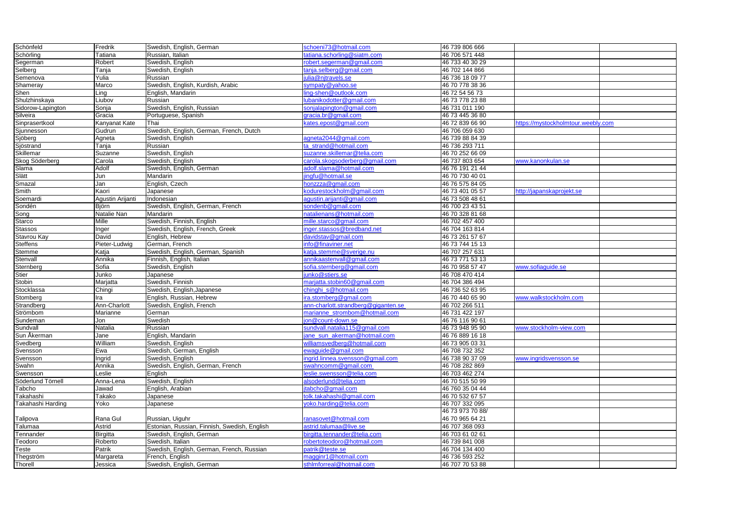| Schönfeld         | Fredrik          | Swedish, English, German                     | schoeni73@hotmail.com               | 46 739 806 666   |                                    |  |
|-------------------|------------------|----------------------------------------------|-------------------------------------|------------------|------------------------------------|--|
| Schörling         | Tatiana          | Russian, Italian                             | tatiana.schorling@siatm.com         | 46 706 571 448   |                                    |  |
| Segerman          | Robert           | Swedish, English                             | robert.segerman@gmail.com           | 46 733 40 30 29  |                                    |  |
| Selberg           | Tanja            | Swedish, English                             | tanja.selberg@gmail.com             | 46 702 144 866   |                                    |  |
| Semenova          | Yulia            | Russian                                      | julia@njtravels.se                  | 46 736 18 09 77  |                                    |  |
| Shameray          | Marco            | Swedish, English, Kurdish, Arabic            | sympaty@yahoo.se                    | 46 70 778 38 36  |                                    |  |
| Shen              | Ling             | English, Mandarin                            | ling-shen@outlook.com               | 46 72 54 56 73   |                                    |  |
| Shulzhinskaya     | Liubov           | Russian                                      | lubanikodotter@gmail.com            | 46 73 778 23 88  |                                    |  |
| Sidorow-Lapington | Sonja            | Swedish, English, Russian                    | sonjalapington@gmail.com            | 46 731 011 190   |                                    |  |
| Silveira          | Gracia           | Portuguese, Spanish                          | gracia.br@gmail.com                 | 46 73 445 36 80  |                                    |  |
| Sinprasertkool    | Kanyanat Kate    | Thai                                         | kates.epost@gmail.com               | 46 72 839 66 90  | https://mystockholmtour.weebly.com |  |
| Sjunnesson        | Gudrun           | Swedish, English, German, French, Dutch      |                                     | 46 706 059 630   |                                    |  |
| Sjöberg           | Agneta           | Swedish, English                             | agneta2044@gmail.com                | 46 739 88 84 39  |                                    |  |
| Sjöstrand         | Tanja            | Russian                                      | ta strand@hotmail.com               | 46 736 293 711   |                                    |  |
| Skillemar         | Suzanne          | Swedish, English                             | suzanne.skillemar@telia.com         | 46 70 252 66 09  |                                    |  |
| Skog Söderberg    | Carola           | Swedish, English                             | carola.skogsoderberg@gmail.com      | 46 737 803 654   | www.kanonkulan.se                  |  |
| Slama             | Adolf            | Swedish, English, German                     | adolf.slama@hotmail.com             | 46 76 191 21 44  |                                    |  |
| Slätt             | Jun              | <b>Mandarin</b>                              | jingfu@hotmail.se                   | 46 70 730 40 01  |                                    |  |
| Smazal            | Jan              | English, Czech                               | honzzza@gmail.com                   | 46 76 575 84 05  |                                    |  |
| Smith             | Kaori            | Japanese                                     | kodurestockholm@gmail.com           | 46 73 401 05 57  | http://japanskaprojekt.se          |  |
| Soemardi          | Agustin Arijanti | Indonesian                                   | aqustin.arijanti@gmail.com          | 46 73 508 48 61  |                                    |  |
| Sondén            | Björn            | Swedish, English, German, French             | sondenb@gmail.com                   | 46 700 23 43 51  |                                    |  |
| Song              | Natalie Nan      | Mandarin                                     | natalienans@hotmail.com             | 46 70 328 81 68  |                                    |  |
| Starco            | Mille            | Swedish, Finnish, English                    | mille.starco@gmail.com              | 46 702 457 400   |                                    |  |
| <b>Stassos</b>    |                  | Swedish, English, French, Greek              | inger.stassos@bredband.net          | 46 704 163 814   |                                    |  |
|                   | Inger<br>David   |                                              |                                     |                  |                                    |  |
| Stavrou Kay       |                  | English, Hebrew                              | davidstav@gmail.com                 | 46 73 261 57 67  |                                    |  |
| <b>Steffens</b>   | Pieter-Ludwig    | German, French                               | info@finaviner.net                  | 46 73 744 15 13  |                                    |  |
| <b>Stemme</b>     | Katja            | Swedish, English, German, Spanish            | katja.stemme@sverige.nu             | 46 707 257 631   |                                    |  |
| Stenvall          | Annika           | Finnish, English, Italian                    | annikaastenvall@gmail.com           | 46 73 771 53 13  |                                    |  |
| Sternberg         | Sofia            | Swedish, English                             | sofia.sternberg@gmail.com           | 46 70 958 57 47  | www.sofiaguide.se                  |  |
| Stier             | Junko            | Japanese                                     | junko@stiers.se                     | 46 708 470 414   |                                    |  |
| Stobin            | Marjatta         | Swedish, Finnish                             | marjatta.stobin60@gmail.com         | 46 704 386 494   |                                    |  |
| Stocklassa        | Chingi           | Swedish, English, Japanese                   | chinghi_s@hotmail.com               | 46 736 52 63 95  |                                    |  |
| Stomberg          | Ira              | English, Russian, Hebrew                     | ira.stomberg@gmail.com              | 46 70 440 65 90  | www.walkstockholm.com              |  |
| Strandberg        | Ann-Charlott     | Swedish, English, French                     | ann-charlott.strandberg@giganten.se | 46 702 266 511   |                                    |  |
| Strömbom          | Marianne         | German                                       | marianne strombom@hotmail.com       | 46 731 422 197   |                                    |  |
| Sundeman          | Jon              | Swedish                                      | jon@count-down.se                   | 46 76 116 90 61  |                                    |  |
| Sundvall          | Natalia          | Russian                                      | sundvall.natalia115@gmail.com       | 46 73 948 95 90  | www.stockholm-view.com             |  |
| Sun Åkerman       | Jane             | English, Mandarin                            | jane sun akerman@hotmail.com        | 46 76 889 16 18  |                                    |  |
| Svedberg          | William          | Swedish, English                             | williamsvedberg@hotmail.com         | 46 73 905 03 31  |                                    |  |
| Svensson          | Ewa              | Swedish, German, English                     | ewaguide@gmail.com                  | 46 708 732 352   |                                    |  |
| Svensson          | Ingrid           | Swedish, English                             | ingrid.linnea.svensson@gmail.com    | 46 738 90 37 09  | www.ingridsvensson.se              |  |
| Swahn             | Annika           | Swedish, English, German, French             | swahncomm@gmail.com                 | 46 708 282 869   |                                    |  |
| Swensson          | Leslie           | English                                      | leslie.swensson@telia.com           | 46 703 462 274   |                                    |  |
| Söderlund Törnell | Anna-Lena        | Swedish, English                             | alsoderlund@telia.com               | 46 70 515 50 99  |                                    |  |
| Tabcho            | Jawad            | English, Arabian                             | itabcho@gmail.com                   | 46 760 35 04 44  |                                    |  |
| Takahashi         | Takako           | Japanese                                     | tolk.takahashi@gmail.com            | 46 70 532 67 57  |                                    |  |
| Takahashi Harding | Yoko             | Japanese                                     | yoko.harding@telia.com              | 46 707 332 095   |                                    |  |
|                   |                  |                                              |                                     | 46 73 973 70 88/ |                                    |  |
| Talipova          | Rana Gul         | Russian, Uiguhr                              | ranasovet@hotmail.com               | 46 70 965 64 21  |                                    |  |
| Talumaa           | Astrid           | Estonian, Russian, Finnish, Swedish, English | astrid.talumaa@live.se              | 46 707 368 093   |                                    |  |
| Tennander         | Birgitta         | Swedish, English, German                     | birgitta.tennander@telia.com        | 46 703 61 02 61  |                                    |  |
| Teodoro           | Roberto          | Swedish, Italian                             | robertoteodoro@hotmail.com          | 46 739 841 008   |                                    |  |
| Teste             | Patrik           | Swedish, English, German, French, Russian    | patrik@teste.se                     | 46 704 134 400   |                                    |  |
| Thegström         | Margareta        | French, English                              | magginr1@hotmail.com                | 46 736 593 252   |                                    |  |
| Thorell           | Jessica          | Swedish, English, German                     | sthImforreal@hotmail.com            | 46 707 70 53 88  |                                    |  |
|                   |                  |                                              |                                     |                  |                                    |  |

| mystockholmtour.weebly.com |  |
|----------------------------|--|
|                            |  |
|                            |  |
|                            |  |
|                            |  |
|                            |  |
| anonkulan.se               |  |
|                            |  |
|                            |  |
|                            |  |
| apanskaprojekt.se          |  |
|                            |  |
|                            |  |
|                            |  |
|                            |  |
|                            |  |
|                            |  |
|                            |  |
|                            |  |
|                            |  |
|                            |  |
|                            |  |
| ofiaguide.se               |  |
|                            |  |
|                            |  |
|                            |  |
| valkstockholm.com          |  |
|                            |  |
|                            |  |
|                            |  |
|                            |  |
| tockholm-view.com          |  |
|                            |  |
|                            |  |
|                            |  |
|                            |  |
| ngridsvensson.se           |  |
|                            |  |
|                            |  |
|                            |  |
|                            |  |
|                            |  |
|                            |  |
|                            |  |
|                            |  |
|                            |  |
|                            |  |
|                            |  |
|                            |  |
|                            |  |
|                            |  |
|                            |  |
|                            |  |
|                            |  |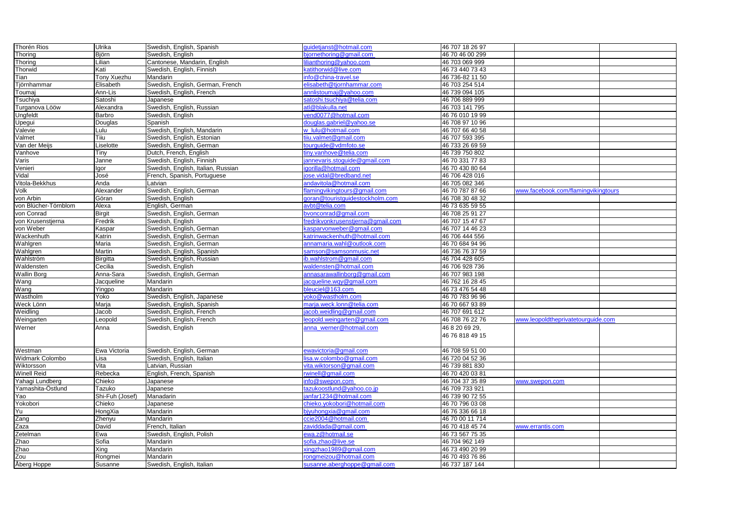| Thorén Rios            | Ulrika             | Swedish, English, Spanish          | guidetjanst@hotmail.com           | 46 707 18 26 97 |                                     |  |
|------------------------|--------------------|------------------------------------|-----------------------------------|-----------------|-------------------------------------|--|
| Thoring                | Björn              | Swedish, English                   | bjornethoring@gmail.com           | 46 70 46 00 299 |                                     |  |
| Thoring                | Lilian             | Cantonese, Mandarin, English       | ilianthoring@yahoo.com            | 46 703 069 999  |                                     |  |
| Thorwid                | Kati               | Swedish, English, Finnish          | katithorwid@live.com              | 46 73 440 73 43 |                                     |  |
| Tian                   | <b>Tony Xuezhu</b> | Mandarin                           | info@china-travel.se              | 46 736-82 11 50 |                                     |  |
| Tjörnhammar            | Elisabeth          | Swedish, English, German, French   | elisabeth@tjornhammar.com         | 46 703 254 514  |                                     |  |
| Toumaj                 | Ann-Lis            | Swedish, English, French           | annlistoumaj@yahoo.com            | 46 739 094 105  |                                     |  |
| Tsuchiya               | Satoshi            | Japanese                           | satoshi.tsuchiya@telia.com        | 46 706 889 999  |                                     |  |
| Turganova Lööw         | Alexandra          | Swedish, English, Russian          | atl@blakulla.net                  | 46 703 141 795  |                                     |  |
| Ungfeldt               | Barbro             | Swedish, English                   | vend0077@hotmail.com              | 46 76 010 19 99 |                                     |  |
| Upegui                 | Douglas            | Spanish                            | douglas.gabriel@yahoo.se          | 46 708 97 10 96 |                                     |  |
| Valevie                | Lulu               | Swedish, English, Mandarin         | w lulu@hotmail.com                | 46 707 66 40 58 |                                     |  |
| Valmet                 | Tiiu               | Swedish, English, Estonian         | tiiu.valmet@gmail.com             | 46 707 593 395  |                                     |  |
| Van der Meijs          | Liselotte          | Swedish, English, German           | tourguide@vdmfoto.se              | 46 733 26 69 59 |                                     |  |
| Vanhove                | Tiny               | Dutch, French, English             | tiny.vanhove@telia.com            | 46 739 750 802  |                                     |  |
| Varis                  | Janne              | Swedish, English, Finnish          | annevaris.stoguide@gmail.com      | 46 70 331 77 83 |                                     |  |
| Venieri                | Igor               | Swedish, English, Italian, Russian | igorilla@hotmail.com              | 46 70 430 80 64 |                                     |  |
| Vidal                  | José               | French, Spanish, Portuguese        | jose.vidal@bredband.net           | 46 706 428 016  |                                     |  |
| Vitola-Bekkhus         | Anda               | Latvian                            | andavitola@hotmail.com            | 46 705 082 346  |                                     |  |
| Volk                   | Alexander          | Swedish, English, German           | flamingvikingtours@gmail.com      | 46 70 787 87 66 | www.facebook.com/flamingvikingtours |  |
| von Arbin              | Göran              | Swedish, English                   | goran@touristguidestockholm.com   | 46 708 30 48 32 |                                     |  |
| von Blücher-Törnblom   | Alexa              | English, German                    | avbt@telia.com                    | 46 73 635 59 55 |                                     |  |
| von Conrad             | <b>Birgit</b>      | Swedish, English, German           | bvonconrad@gmail.com              | 46 708 25 91 27 |                                     |  |
| von Krusenstjerna      | Fredrik            | Swedish, English                   | fredrikvonkrusenstjerna@gmail.com | 46 707 15 47 67 |                                     |  |
| von Weber              | Kaspar             | Swedish, English, German           | kasparvonweber@gmail.com          | 46 707 14 46 23 |                                     |  |
| Wackenhuth             | Katrin             | Swedish, English, German           | katrinwackenhuth@hotmail.com      | 46 706 444 556  |                                     |  |
| Wahlgren               | Maria              | Swedish, English, German           | annamaria.wahl@outlook.com        | 46 70 684 94 96 |                                     |  |
| Wahlgren               | Martin             | Swedish, English, Spanish          | samson@samsonmusic.net            | 46 736 76 37 59 |                                     |  |
| Wahlström              | <b>Birgitta</b>    | Swedish, English, Russian          | ib.wahlstrom@gmail.com            | 46 704 428 605  |                                     |  |
| Waldensten             | Cecilia            | Swedish, English                   | waldensten@hotmail.com            | 46 706 928 736  |                                     |  |
| <b>Wallin Borg</b>     | Anna-Sara          | Swedish, English, German           | annasarawallinborg@gmail.com      | 46 707 983 198  |                                     |  |
| Wang                   | Jacqueline         | Mandarin                           | acqueline.wqy@gmail.com           | 46 762 16 28 45 |                                     |  |
| Wang                   | Yingpo             | Mandarin                           | bleuciel@163.com                  | 46 73 476 54 48 |                                     |  |
| Wastholm               | Yoko               | Swedish, English, Japanese         | yoko@wastholm.com                 | 46 70 783 96 96 |                                     |  |
| Weck Lönn              | Marja              | Swedish, English, Spanish          | marja.weck.lonn@telia.com         | 46 70 667 93 89 |                                     |  |
| Weidling               | Jacob              | Swedish, English, French           | acob.weidling@gmail.com           | 46 707 691 612  |                                     |  |
| Weingarten             | Leopold            | Swedish, English, French           | leopold.weingarten@gmail.com      | 46 708 76 22 76 | www.leopoldtheprivatetourguide.com  |  |
|                        |                    |                                    |                                   |                 |                                     |  |
| Werner                 | Anna               | Swedish, English                   | anna_werner@hotmail.com           | 46 8 20 69 29,  |                                     |  |
|                        |                    |                                    |                                   | 46 76 818 49 15 |                                     |  |
|                        |                    |                                    |                                   |                 |                                     |  |
| Westman                | Ewa Victoria       | Swedish, English, German           | ewavictoria@gmail.com             | 46 708 59 51 00 |                                     |  |
| <b>Widmark Colombo</b> | Lisa               | Swedish, English, Italian          | isa.w.colombo@gmail.com           | 46 720 04 52 36 |                                     |  |
| Wiktorsson             | Vita               | Latvian, Russian                   | vita.wiktorson@gmail.com          | 46 739 881 830  |                                     |  |
| <b>Winell Reid</b>     | Rebecka            | English, French, Spanish           | rwinell@gmail.com                 | 46 70 420 03 81 |                                     |  |
| Yahagi Lundberg        | Chieko             | Japanese                           | info@swepon.com                   | 46 704 37 35 89 | www.swepon.com                      |  |
| Yamashita-Östlund      | Tazuko             | Japanese                           | tazukoostlund@yahoo.co.jp         | 46 709 733 921  |                                     |  |
| Yao                    | Shi-Fuh (Josef)    | Manadarin                          | anfar1234@hotmail.com             | 46 739 90 72 55 |                                     |  |
| Yokobori               | Chieko             | Japanese                           | chieko.yokobori@hotmail.com       | 46 70 796 03 08 |                                     |  |
| <b>Yu</b>              | HongXia            | Mandarin                           | bjyuhongxia@gmail.com             | 46 76 336 66 18 |                                     |  |
| Zang                   | Zhenyu             | Mandarin                           | ccie2004@hotmail.com              | 46 70 00 11 714 |                                     |  |
| Zaza                   | David              | French, Italian                    | zaviddada@gmail.com               | 46 70 418 45 74 | www.errantis.com                    |  |
| Zetelman               | Ewa                | Swedish, English, Polish           | ewa.z@hotmail.se                  | 46 73 567 75 35 |                                     |  |
| Zhao                   | Sofia              | Mandarin                           | sofia.zhao@live.se                | 46 704 962 149  |                                     |  |
| Zhao                   | Xing               | Mandarin                           | xingzhao1989@gmail.com            | 46 73 490 20 99 |                                     |  |
| Zou                    | Rongmei            | Mandarin                           | rongmeizou@hotmail.com            | 46 70 493 76 86 |                                     |  |
| <b>Åberg Hoppe</b>     | Susanne            | Swedish, English, Italian          | susanne.aberghoppe@gmail.com      | 46 737 187 144  |                                     |  |